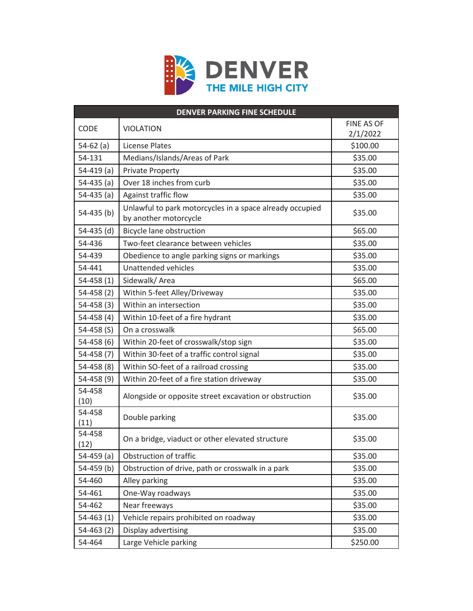

| <b>DENVER PARKING FINE SCHEDULE</b> |                                                                                   |            |  |
|-------------------------------------|-----------------------------------------------------------------------------------|------------|--|
| <b>CODE</b>                         | <b>VIOLATION</b>                                                                  | FINE AS OF |  |
|                                     |                                                                                   | 2/1/2022   |  |
| $54-62$ (a)                         | <b>License Plates</b>                                                             | \$100.00   |  |
| 54-131                              | Medians/Islands/Areas of Park                                                     | \$35.00    |  |
| $54-419$ (a)                        | <b>Private Property</b>                                                           | \$35.00    |  |
| $54-435(a)$                         | Over 18 inches from curb                                                          | \$35.00    |  |
| $54-435$ (a)                        | Against traffic flow                                                              | \$35.00    |  |
| $54-435$ (b)                        | Unlawful to park motorcycles in a space already occupied<br>by another motorcycle | \$35.00    |  |
| $54-435$ (d)                        | Bicycle lane obstruction                                                          | \$65.00    |  |
| 54-436                              | Two-feet clearance between vehicles                                               | \$35.00    |  |
| 54-439                              | Obedience to angle parking signs or markings                                      | \$35.00    |  |
| 54-441                              | Unattended vehicles                                                               | \$35.00    |  |
| $54-458(1)$                         | Sidewalk/Area                                                                     | \$65.00    |  |
| $54-458(2)$                         | Within 5-feet Alley/Driveway                                                      | \$35.00    |  |
| $54 - 458(3)$                       | Within an intersection                                                            | \$35.00    |  |
| $54 - 458(4)$                       | Within 10-feet of a fire hydrant                                                  | \$35.00    |  |
| 54-458 $(S)$                        | On a crosswalk                                                                    | \$65.00    |  |
| $54 - 458(6)$                       | Within 20-feet of crosswalk/stop sign                                             | \$35.00    |  |
| $54 - 458(7)$                       | Within 30-feet of a traffic control signal                                        | \$35.00    |  |
| $54 - 458(8)$                       | Within SO-feet of a railroad crossing                                             | \$35.00    |  |
| $54 - 458(9)$                       | Within 20-feet of a fire station driveway                                         | \$35.00    |  |
| 54-458<br>(10)                      | Alongside or opposite street excavation or obstruction                            | \$35.00    |  |
| 54-458<br>(11)                      | Double parking                                                                    | \$35.00    |  |
| 54-458<br>(12)                      | On a bridge, viaduct or other elevated structure                                  | \$35.00    |  |
| $54-459$ (a)                        | Obstruction of traffic                                                            | \$35.00    |  |
| $54-459$ (b)                        | Obstruction of drive, path or crosswalk in a park                                 | \$35.00    |  |
| 54-460                              | Alley parking                                                                     | \$35.00    |  |
| 54-461                              | One-Way roadways                                                                  | \$35.00    |  |
| 54-462                              | Near freeways                                                                     | \$35.00    |  |
| $54-463(1)$                         | Vehicle repairs prohibited on roadway                                             | \$35.00    |  |
| $54-463(2)$                         | Display advertising                                                               | \$35.00    |  |
| 54-464                              | Large Vehicle parking                                                             | \$250.00   |  |